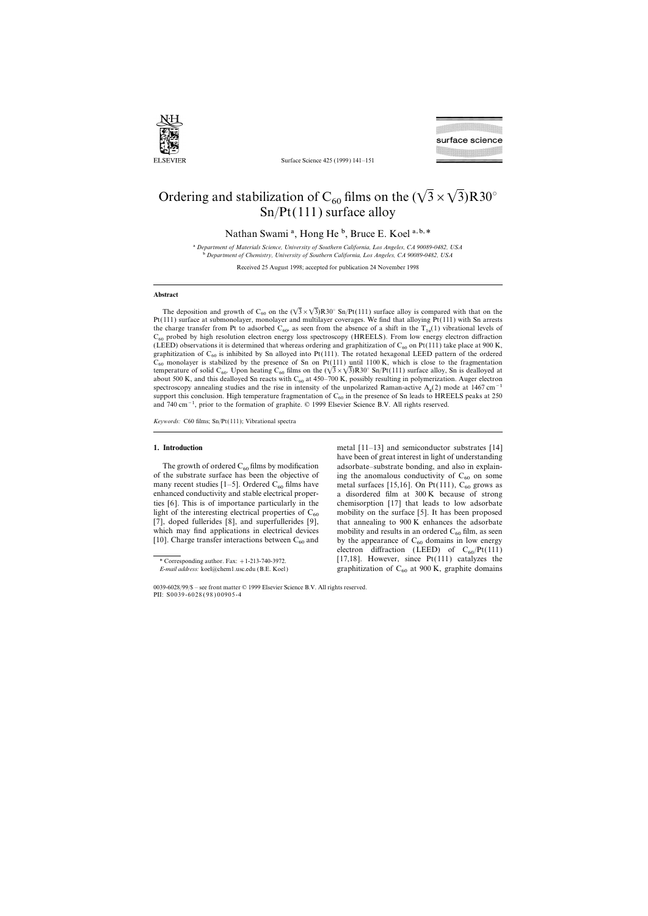

Surface Science 425 (1999) 141–151

# Ordering and stabilization of C<sub>60</sub> films on the  $(\sqrt{3} \times \sqrt{3})R30^\circ$ Sn/Pt(111) surface alloy

Nathan Swami<sup>a</sup>, Hong He<sup>b</sup>, Bruce E. Koel<sup>a,b,\*</sup>

a *Department of Materials Science, University of Southern California, Los Angeles, CA 90089-0482, USA* b *Department of Chemistry, University of Southern California, Los Angeles, CA 90089-0482, USA*

Received 25 August 1998; accepted for publication 24 November 1998

### **Abstract**

The deposition and growth of C<sub>60</sub> on the  $(\sqrt{3}\times\sqrt{3})R30^\circ$  Sn/Pt(111) surface alloy is compared with that on the Pt(111) surface at submonolayer, monolayer and multilayer coverages. We find that alloying Pt(111) with Sn arrests the charge transfer from Pt to adsorbed  $C_{60}$ , as seen from the absence of a shift in the  $T_{1u}(1)$  vibrational levels of  $C_{60}$  probed by high resolution electron energy loss spectroscopy (HREELS). From low energy electron diffraction (LEED) observations it is determined that whereas ordering and graphitization of  $C_{60}$  on Pt(111) take place at 900 K, graphitization of  $C_{60}$  is inhibited by Sn alloyed into Pt(111). The rotated hexagonal LEED pattern of the ordered  $C_{60}$  monolayer is stabilized by the presence of Sn on Pt(111) until 1100 K, which is close to the fragmentation temperature of solid C<sub>60</sub>. Upon heating C<sub>60</sub> films on the  $(\sqrt{3} \times \sqrt{3})R30^\circ$  Sn/Pt(111) surface alloy, Sn is dealloyed at about 500 K, and this dealloyed Sn reacts with  $C_{60}$  at 450–700 K, possibly resulting in polymerization. Auger electron spectroscopy annealing studies and the rise in intensity of the unpolarized Raman-active  $A_g(2)$  mode at 1467 cm<sup>−1</sup> support this conclusion. High temperature fragmentation of  $C_{60}$  in the presence of Sn leads to HREELS peaks at 250 and 740 cm−1, prior to the formation of graphite. © 1999 Elsevier Science B.V. All rights reserved.

*Keywords:* C60 films; Sn/Pt(111); Vibrational spectra

of the substrate surface has been the objective of many recent studies  $[1-5]$ . Ordered  $C_{60}$  films have

**1. Introduction** metal  $[11-13]$  and semiconductor substrates [14] have been of great interest in light of understanding The growth of ordered  $C_{60}$  films by modification adsorbate–substrate bonding, and also in explain-<br>the substrate surface has been the objective of ing the anomalous conductivity of  $C_{60}$  on some many recent studies [1–5]. Ordered  $C_{60}$  films have metal surfaces [15,16]. On Pt(111),  $C_{60}$  grows as enhanced conductivity and stable electrical proper- a disordered film at 300 K because of strong a disordered film at 300 K because of strong ties [6]. This is of importance particularly in the chemisorption [17] that leads to low adsorbate light of the interesting electrical properties of  $C_{60}$  mobility on the surface [5]. It has been proposed [7], doped fullerides [8], and superfullerides [9], that annealing to 900 K enhances the adsorbate that annealing to  $900 \text{ K}$  enhances the adsorbate which may find applications in electrical devices mobility and results in an ordered  $C_{60}$  film, as seen [10]. Charge transfer interactions between  $C_{60}$  and by the appearance of  $C_{60}$  domains in low energy by the appearance of  $C_{60}$  domains in low energy electron diffraction (LEED) of  $C_{60}/Pt(111)$ \* Corresponding author. Fax: +1-213-740-3972. [17,18]. However, since  $Pt(111)$  catalyzes the *E-mail address:* koel@chem1.usc.edu (B.E. Koel) graphitization of C<sub>60</sub> at 900 K, graphite domains

<sup>0039-6028</sup>/99/\$ – see front matter © 1999 Elsevier Science B.V. All rights reserved. PII: S0039-6028 ( 98 ) 00905-4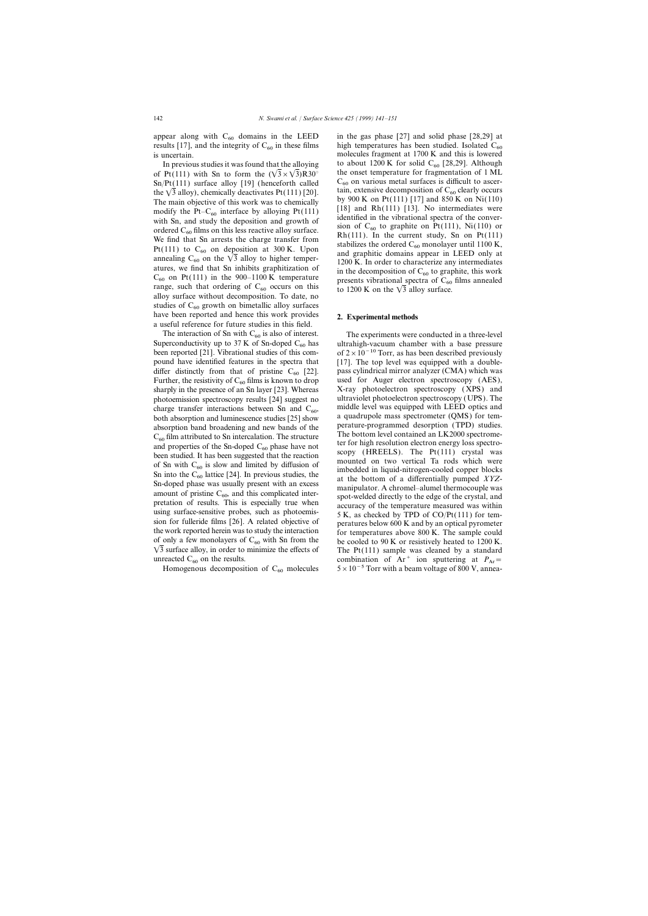appear along with  $C_{60}$  domains in the LEED in the gas phase [27] and solid phase [28,29] at results [17], and the integrity of  $C_{60}$  in these films high temperatures has been studied. Isolated  $C_{60}$ results [17], and the integrity of  $C_{60}$  in these films is uncertain.

 $C_{60}$  on Pt(111) in the 900–1100 K temperature presents vibrational spectra of  $C_{60}$  films annealed to 1200 K on the  $\sqrt{3}$  alloy surface.<br>alloy surface without decomposition. To date, no studies of  $C_{60}$  growth on bimetallic alloy surfaces have been reported and hence this work provides **2. Experimental methods** a useful reference for future studies in this field.

The interaction of Sn with  $C_{60}$  is also of interest.<br>The experiments were conducted in a three-level<br>Superconductivity up to 37 K of Sn-doped  $C_{60}$  has ultrahigh-vacuum chamber with a base pressure sharply in the presence of an Sn layer  $[23]$ . Whereas

Homogenous decomposition of  $C_{60}$  molecules

molecules fragment at  $1700 \text{ K}$  and this is lowered In previous studies it was found that the alloying to about 1200 K for solid C<sub>60</sub> [28,29]. Although of Pt(111) with Sn to form the  $(\sqrt{3} \times \sqrt{3})$ R30<sup>°</sup> the onset temperature for fragmentation of 1 ML the onset temperature for fragmentation of 1 ML  $C_{60}$  on various metal surfaces is difficult to ascer-Sn/Pt(111) surface alloy [19] (henceforth called  $C_{60}$  on various metal surfaces is difficult to ascer-<br>the  $\sqrt{3}$  alloy), chemically deactivates Pt(111) [20].<br>The main objective of this work was to chemically by 900 K

Superconductivity up to 37 K of Sn-doped  $C_{60}$  has ultrahigh-vacuum chamber with a base pressure been reported [21]. Vibrational studies of this com-<br>of  $2 \times 10^{-10}$  Torr, as has been described previously of  $2 \times 10^{-10}$  Torr, as has been described previously pound have identified features in the spectra that [17]. The top level was equipped with a doublediffer distinctly from that of pristine  $C_{60}$  [22]. pass cylindrical mirror analyzer (CMA) which was Further, the resistivity of  $C_{60}$  films is known to drop used for Auger electron spectroscopy (AES), Further, the resistivity of  $C_{60}$  films is known to drop used for Auger electron spectroscopy (AES), sharply in the presence of an Sn laver [231. Whereas  $X$ -ray photoelectron spectroscopy (XPS) and photoemission spectroscopy results [24] suggest no ultraviolet photoelectron spectroscopy (UPS). The charge transfer interactions between Sn and C<sub>co</sub> middle level was equipped with LEED optics and charge transfer interactions between Sn and  $C_{60}$ , middle level was equipped with LEED optics and<br>both absorption and luminescence studies [25] show a quadrupole mass spectrometer (QMS) for tem-<br>absorption band broadeni and properties of the Sn-doped  $C_{60}$  hase have not<br>been studied. It has been suggested that the reaction<br>of Sn with  $C_{60}$  is slow and limited by diffusion of<br>Sn into the  $C_{60}$  lattice [24]. In previous studies, the<br> the work reported herein was to study the interaction for temperatures above 800 K. The sample could of only a few monolayers of  $C_{60}$  with Sn from the be cooled to 90 K or resistively heated to 1200 K. of only a few monolayers of  $C_{60}$  with Sn from the be cooled to 90 K or resistively heated to 1200 K.<br>  $\sqrt{3}$  surface alloy, in order to minimize the effects of The Pt(111) sample was cleaned by a standard combination combination of Ar<sup>+</sup> ion sputtering at  $P_{Ar} = 5 \times 10^{-5}$  Torr with a beam voltage of 800 V, annea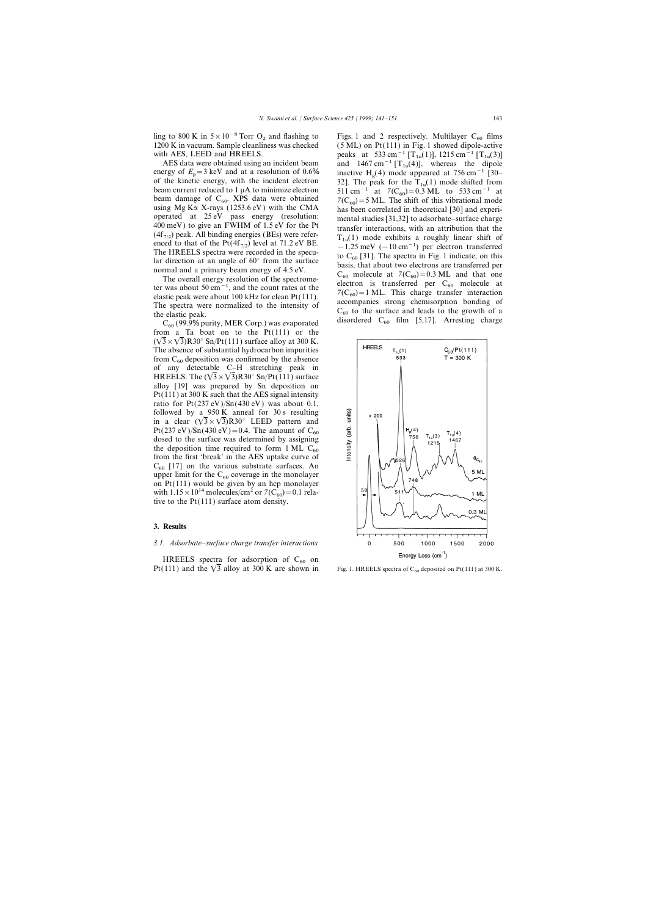ling to 800 K in  $5 \times 10^{-8}$  Torr O<sub>2</sub> and flashing to Figs. 1 and 2 respectively. Multilayer C<sub>60</sub> films 1200 K in vacuum. Sample cleanliness was checked (5 ML) on Pt(111) in Fig. 1 showed dipole-active

energy of  $E_p = 3 \text{ keV}$  and at a resolution of 0.6% inactive  $H_g$ <br>of the kinetic energy with the incident electron 221. The m of the kinetic energy, with the incident electron 32]. The peak for the T<sub>1u</sub>(1) mode shifted from beam current reduced to 1  $\mu$ A to minimize electron 511 cm<sup>-1</sup> at 7(C<sub>co</sub>)=0.3 ML, to 533 cm<sup>-1</sup> at beam current reduced to 1 µA to minimize electron 511 cm<sup>-1</sup> at  $7(C_{60}) = 0.3$  ML to 533 cm<sup>-1</sup> at beam damage of  $C_{60}$ . XPS data were obtained  $7(C_{60}) = 5$  ML. The shift of this vibrational mode beam damage of  $C_{60}$ . XPS data were obtained  $7(C_{60}) = 5$  ML. The shift of this vibrational mode<br>using Mg K $\alpha$  X-rays (1253.6 eV) with the CMA has been correlated in theoretical [30] and experi-

from a Ta boat on to the  $Pt(111)$  or the  $(\sqrt{3} \times \sqrt{3})R30^\circ$  Sn/Pt(111) surface alloy at 300 K. The absence of substantial hydrocarbon impurities from  $C_{60}$  deposition was confirmed by the absence of any detectable C–H stretching peak in HREELS. The  $(\sqrt{3} \times \sqrt{3})R30^{\circ}$  Sn/Pt(111) surface alloy [19] was prepared by Sn deposition on Pt(111) at 300 K such that the AES signal intensity ratio for  $Pt(237 eV)/Sn(430 eV)$  was about 0.1, followed by a 950 K anneal for 30 s resulting in a clear  $(\sqrt{3} \times \sqrt{3})R30^\circ$  LEED pattern and Pt(237 eV)/Sn(430 eV)=0.4. The amount of C<sub>60</sub> dosed to the surface was determined by assigning the deposition time required to form 1 ML  $C_{60}$  from the first 'break' in the AES uptake curve of  $C_{60}$  [17] on the various substrate surfaces. An upper limit for the  $C_{60}$  coverage in the monolayer on Pt(111) would be given by an hcp monolayer with  $1.15 \times 10^{14}$  molecules/cm<sup>2</sup> or  $7(C_{60})=0.1$  relative to the Pt(111) surface atom density.

# **3. Results**

# *3.1. Adsorbate–surface charge transfer interactions*

HREELS spectra for adsorption of  $C_{60}$  on Pt(111) and the  $\sqrt{3}$  alloy at 300 K are shown in

 $(5 ML)$  on Pt $(111)$  in Fig. 1 showed dipole-active with AES, LEED and HREELS.<br>AES data were obtained using an incident beam and  $1467 \text{ cm}^{-1}$  [T<sub>1u</sub>(1)], 1215 cm<sup>-1</sup> [T<sub>1u</sub>(3)] AES data were obtained using an incident beam and  $1467 \text{ cm}^{-1} [\text{T}_{1u}(4)]$ , whereas the dipole<br>ergy of  $F = 3 \text{ keV}$  and at a resolution of 0.6% inequiries H (4) mode approach at 756 cm<sup>-1</sup> [20] inactive H<sub>q</sub>(4) mode appeared at 756 cm<sup>-1</sup> [30– using Mg K $\alpha$  X-rays (1253.6 eV) with the CMA<br>
has been correlated in theoretical [30] and experi-<br>
operated at 25 eV pass energy (resolution:<br>
the Pt ansfer interactions, with an attribution that the<br>
(4f<sub>7/2</sub>) peak. Al



Fig. 1. HREELS spectra of  $C_{60}$  deposited on Pt(111) at 300 K.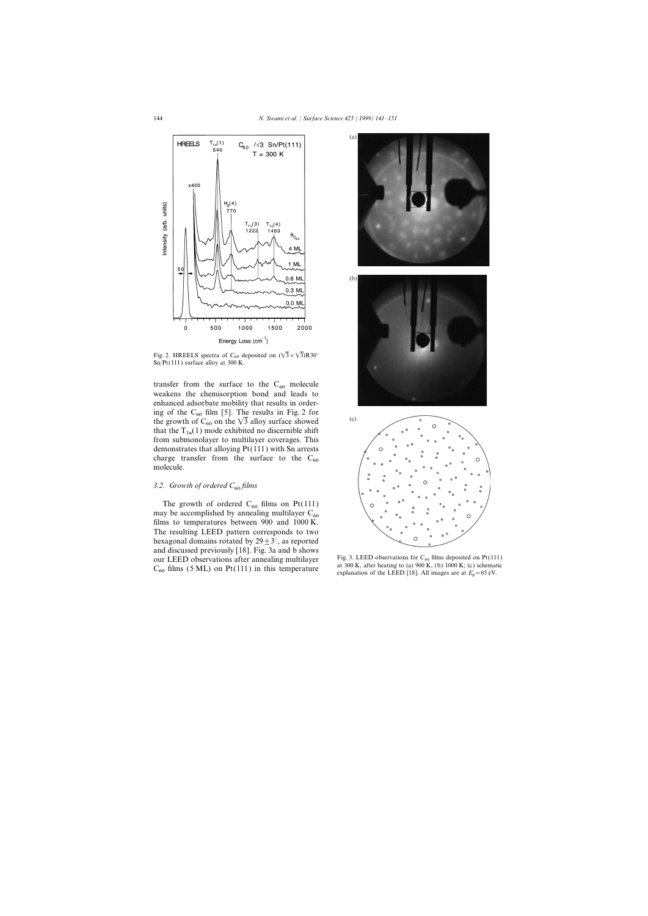

Fig. 2. HREELS spectra of C<sub>60</sub> deposited on  $(\sqrt{3} \times \sqrt{3})R30^{\circ}$ Sn/Pt(111) surface alloy at 300 K.

transfer from the surface to the  $C_{60}$  molecule weakens the chemisorption bond and leads to enhanced adsorbate mobility that results in ordering of the  $C_{60}$  film [5]. The results in Fig. 2 for the growth of  $C_{60}$  on the  $\sqrt{3}$  alloy surface showed that the  $T_{1u}(1)$  mode exhibited no discernible shift from submonolayer to multilayer coverages. This demonstrates that alloying Pt(111) with Sn arrests charge transfer from the surface to the  $C_{60}$  molecule.

### 3.2. Growth of ordered C<sub>60</sub> films

The growth of ordered  $C_{60}$  films on Pt(111) may be accomplished by annealing multilayer  $C_{60}$ films to temperatures between 900 and 1000 K. The resulting LEED pattern corresponds to two hexagonal domains rotated by  $29 \pm 3^{\circ}$ , as reported and discussed previously [18]. Fig. 3a and b shows our LEED observations after annealing multilayer Fig. 3. LEED observations for  $C_{60}$  films deposited on Pt(111)<br>  $C_{60}$  films (5 ML) on Pt(111) in this temperature and a 300 K, after heating to (a) 900 K, (b) 1000 K; (



explanation of the LEED [18]. All images are at  $E_p = 65$  eV.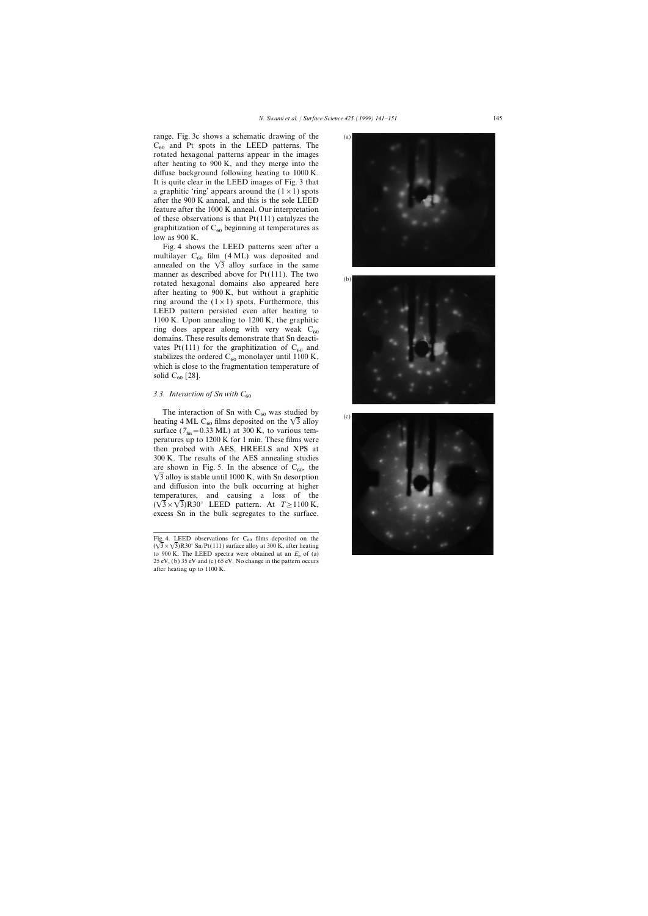range. Fig. 3c shows a schematic drawing of the  $C_{60}$  and Pt spots in the LEED patterns. The rotated hexagonal patterns appear in the images after heating to 900 K, and they merge into the diffuse background following heating to 1000 K. It is quite clear in the LEED images of Fig. 3 that a graphitic 'ring' appears around the  $(1 \times 1)$  spots after the 900 K anneal, and this is the sole LEED feature after the 1000 K anneal. Our interpretation of these observations is that  $Pt(111)$  catalyzes the graphitization of  $C_{60}$  beginning at temperatures as low as 900 K.

Fig. 4 shows the LEED patterns seen after a multilayer  $C_{60}$  film (4 ML) was deposited and annealed on the  $\sqrt{3}$  alloy surface in the same manner as described above for Pt(111). The two rotated hexagonal domains also appeared here after heating to 900 K, but without a graphitic ring around the  $(1 \times 1)$  spots. Furthermore, this LEED pattern persisted even after heating to 1100 K. Upon annealing to 1200 K, the graphitic ring does appear along with very weak  $C_{60}$  domains. These results demonstrate that Sn deactivates Pt(111) for the graphitization of  $C_{60}$  and stabilizes the ordered  $C_{60}$  monolayer until 1100 K, which is close to the fragmentation temperature of solid  $C_{60}$  [28].

# 3.3. Interaction of Sn with  $C_{60}$

The interaction of Sn with  $C_{60}$  was studied by heating 4 ML C<sub>60</sub> films deposited on the  $\sqrt{3}$  alloy surface  $(7_{\text{Sn}} = 0.33 \text{ ML})$  at 300 K, to various tem-<br>paratures up to 1200 K for 1 min. These films were peratures up to 1200 K for 1 min. These films were then probed with AES, HREELS and XPS at 300 K. The results of the AES annealing studies are shown in Fig. 5. In the absence of  $C_{60}$ , the  $\sqrt{3}$  alloy is stable until 1000 K, with Sn desorption and diffusion into the bulk occurring at higher temperatures, and causing a loss of the  $(\sqrt{3} \times \sqrt{3})R30$ ° LEED pattern. At *T*≥1100 K, excess Sn in the bulk segregates to the surface.

 $(a)$ 





Fig. 4. LEED observations for  $C_{60}$  films deposited on the  $(\sqrt{3} \times \sqrt{3})R30^\circ$  Sn/Pt(111) surface alloy at 300 K, after heating to 900 K. The LEED spectra were obtained at an  $E_p$  of (a) 25 eV, (b) 35 eV and (c) 65 eV. No change in the pattern occurs after heating up to 1100 K.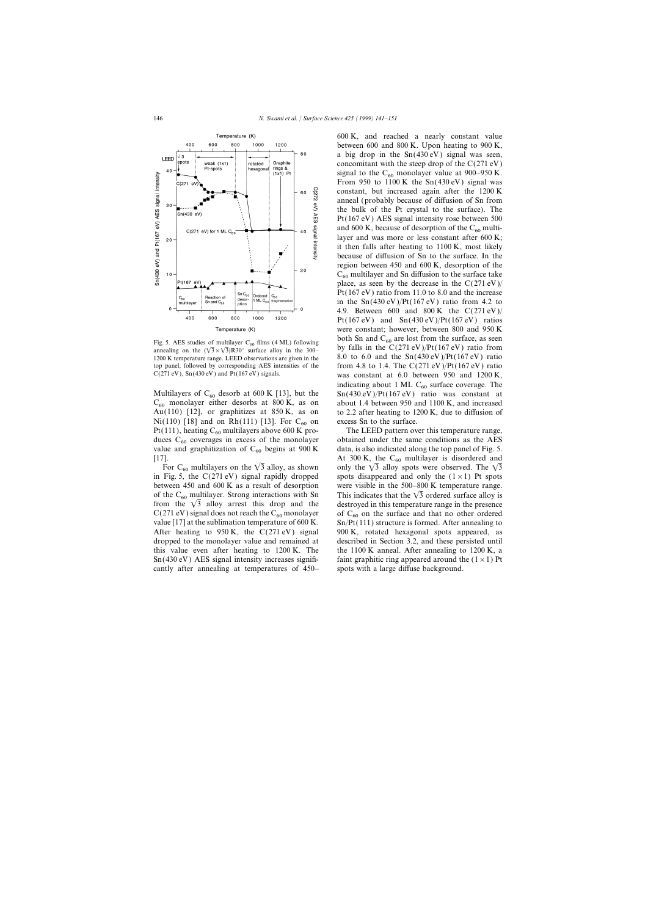

Au(110) [12], or graphitizes at  $850$  K, as on Ni(110) [18] and on Rh(111) [13]. For  $C_{60}$  on excess Sn to the surface.<br>Pt(111), heating  $C_{60}$  multilayers above 600 K pro-<br>The LEED pattern over this temperature range, Pt(111), heating C<sub>60</sub> multilayers above 600 K pro-<br>duces C<sub>60</sub> coverages in excess of the monolayer obtained under the same conditions as the AES value and graphitization of  $C_{60}$  begins at 900 K [17].

between 450 and 600 K as a result of desorption were visible in the 500–800 K temperature range. from the  $\sqrt{3}$  alloy arrest this drop and the cantly after annealing at temperatures of 450– spots with a large diffuse background.

600 K, and reached a nearly constant value between 600 and 800 K. Upon heating to 900 K, a big drop in the  $Sn(430 eV)$  signal was seen, concomitant with the steep drop of the  $C(271 \text{ eV})$ signal to the  $C_{60}$  monolayer value at 900–950 K. From 950 to 1100 K the  $Sn(430 eV)$  signal was constant, but increased again after the 1200 K anneal (probably because of diffusion of Sn from the bulk of the Pt crystal to the surface). The Pt(167 eV) AES signal intensity rose between 500 and 600 K, because of desorption of the  $C_{60}$  multilayer and was more or less constant after 600 K; it then falls after heating to 1100 K, most likely because of diffusion of Sn to the surface. In the region between 450 and 600 K, desorption of the  $C_{60}$  multilayer and Sn diffusion to the surface take place, as seen by the decrease in the  $C(271 \text{ eV})/$ Pt(167 eV) ratio from 11.0 to 8.0 and the increase in the  $\text{Sn}(430 \text{ eV})/\text{Pt}(167 \text{ eV})$  ratio from 4.2 to 4.9. Between 600 and 800 K the  $C(271 \text{ eV})/$ Pt(167 eV) and  $Sn(430 eV)/Pt(167 eV)$  ratios were constant; however, between 800 and 950 K Fig. 5. AES studies of multilayer C<sub>60</sub> films (4 ML) following both Sn and C<sub>60</sub> are lost from the surface, as seen annealing on the  $(\sqrt{3} \times \sqrt{3})$ R30° surface alloy in the 300- by falls in the C(271 eV)/Pt(167 eV) ratio by falls in the  $C(271 \text{ eV})/Pt(167 \text{ eV})$  ratio from 1200 K temperature range. LEED observations are given in the 8.0 to 6.0 and the  $Sn(430 eV)/Pt(167 eV)$  ratio top panel, followed by corresponding AES intensities of the from 4.8 to 1.4. The C(271 eV)/Pt(167 eV) ratio C(271 eV), Sn(430 eV) and Pt(167 eV) signals. was constant at  $6.0$  between  $950$  and  $1200$  K, indicating about 1 ML C<sub>60</sub> surface coverage. The  $Sn(430 eV)/Pt(167 eV)$  ratio was constant at Multilayers of C<sub>60</sub> desorb at 600 K [13], but the Sn(430 eV)/Pt(167 eV) ratio was constant at C<sub>60</sub> monolayer either desorbs at 800 K, as on about 1.4 between 950 and 1100 K, and increased  $C_{60}$  monolayer either desorbs at 800 K, as on about 1.4 between 950 and 1100 K, and increased Au(110) [12], or graphitizes at 850 K, as on to 2.2 after heating to 1200 K, due to diffusion of

duces  $C_{60}$  coverages in excess of the monolayer obtained under the same conditions as the AES value and graphitization of  $C_{60}$  begins at 900 K data, is also indicated along the top panel of Fig. 5. 7]. At 300 K, the C<sub>60</sub> multilayer is disordered and For C<sub>60</sub> multilayers on the  $\sqrt{3}$  alloy, as shown only the  $\sqrt{3}$  alloy spots were observed. The  $\sqrt{3}$ For C<sub>60</sub> multilayers on the  $\sqrt{3}$  alloy, as shown only the  $\sqrt{3}$  alloy spots were observed. The  $\sqrt{3}$  in Fig. 5, the C(271 eV) signal rapidly dropped spots disappeared and only the (1 × 1) Pt spots spots disappeared and only the  $(1\times1)$  Pt spots of the C<sub>60</sub> multilayer. Strong interactions with Sn This indicates that the  $\sqrt{3}$  ordered surface alloy is from the  $\sqrt{3}$  alloy arrest this drop and the destroyed in this temperature range in the presence C(271 eV) signal does not reach the C<sub>60</sub> monolayer of C<sub>60</sub> on the surface and that no other ordered value [17] at the sublimation temperature of 600 K. Sn/Pt(111) structure is formed. After annealing to  $Sn/Pt(111)$  structure is formed. After annealing to After heating to 950 K, the  $C(271 \text{ eV})$  signal 900 K, rotated hexagonal spots appeared, as dropped to the monolayer value and remained at described in Section 3.2, and these persisted until this value even after heating to 1200 K. The the 1100 K anneal. After annealing to 1200 K, a Sn(430 eV) AES signal intensity increases signifi- faint graphitic ring appeared around the  $(1 \times 1)$  Pt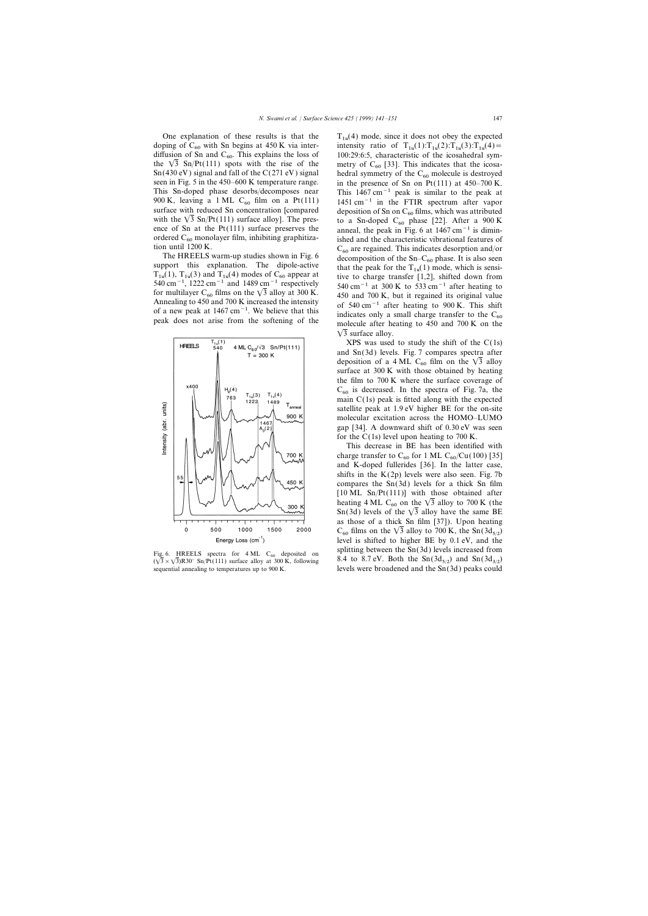One explanation of these results is that the  $T_{1u}(4)$  mode, since it does not obey the expected doping of  $C_{60}$  with Sn begins at 450 K via inter-<br>intensity ratio of  $T_{1u}(1)$ :  $T_{1u}(2)$ :  $T_{1u}(3)$ :  $T_{1u}(4)$  =



doping of C<sub>60</sub> with Sn begins at 450 K via inter-<br>diffusion of Sn and C<sub>60</sub>. This explains the loss of 100:29:6:5, characteristic of the icosahedral symdiffusion of Sn and C<sub>60</sub>. This explains the loss of 100:29:6:5, characteristic of the icosahedral sym-<br>the  $\sqrt{3}$  Sn/Pt(111) spots with the rise of the metry of C<sub>60</sub> [33]. This indicates that the icosathe  $\sqrt{3}$  Sn/Pt(111) spots with the rise of the metry of C<sub>60</sub> [33]. This indicates that the icosa-<br>Sn(430 eV) signal and fall of the C(271 eV) signal hedral symmetry of the C<sub>60</sub> molecule is destroved Sn(430 eV) signal and fall of the C(271 eV) signal hedral symmetry of the C<sub>60</sub> molecule is destroyed<br>seen in Fig. 5 in the 450–600 K temperature range. in the presence of Sn on Pt(111) at 450–700 K seen in Fig. 5 in the 450–600 K temperature range. in the presence of Sn on Pt(111) at 450–700 K.<br>This Sn-doped phase desorbs/decomposes near This 1467 cm<sup>-1</sup> peak is similar to the peak at This Sn-doped phase desorbs/decomposes near This 1467 cm<sup>-1</sup> peak is similar to the peak at 900 K, leaving a 1 ML C<sub>60</sub> film on a Pt(111) 1451 cm<sup>-1</sup> in the FTIR spectrum after vapor 900 K, leaving a 1 ML C<sub>60</sub> film on a Pt(111) 1451 cm<sup>-1</sup> in the FTIR spectrum after vapor surface with reduced Sn concentration [compared deposition of Sn on C<sub>60</sub> films which was attributed surface with reduced Sn concentration [compared deposition of Sn on  $C_{60}$  films, which was attributed with the  $\sqrt{3}$  Sn/Pt(111) surface alloy]. The preswith the  $\sqrt{3}$  Sn/Pt(111) surface alloy]. The pres-<br>ence of Sn at the Pt(111) surface preserves the anneal the peak in Fig. 6 at 1467 cm<sup>-1</sup> is diminence of Sn at the Pt(111) surface preserves the anneal, the peak in Fig. 6 at 1467 cm<sup>-1</sup> is dimin-<br>ordered C<sub>60</sub> monolayer film, inhibiting graphitiza-<br>ished and the characteristic vibrational features of ordered  $C_{60}$  monolayer film, inhibiting graphitiza-<br>tion until 1200 K.<br> $C_{60}$  are regained. This indicates described and/or the HREELS warm-up studies shown in Fig. 6<br>The HREELS warm-up studies shown in Fig. 6<br>decomposition of the Sn–C<sub>60</sub> phase. It is also seen The HREELS warm-up studies shown in Fig. 6<br>support this explanation. The dipole-active<br> $T_{1u}(1)$ ,  $T_{1u}(3)$  and  $T_{1u}(4)$  modes of  $C_{60}$  appear at tive to charge transfer [1,2], shifted down from<br>540 cm<sup>-1</sup>, 1222 cm<sup>-1</sup>  $\sqrt{3}$  surface alloy.

> XPS was used to study the shift of the  $C(1s)$ and Sn(3d) levels. Fig. 7 compares spectra after deposition of a 4 ML C<sub>60</sub> film on the  $\sqrt{3}$  alloy surface at 300 K with those obtained by heating the film to 700 K where the surface coverage of  $C_{60}$  is decreased. In the spectra of Fig. 7a, the main C(1s) peak is fitted along with the expected satellite peak at 1.9 eV higher BE for the on-site molecular excitation across the HOMO–LUMO gap [34]. A downward shift of 0.30 eV was seen for the  $C(1s)$  level upon heating to 700 K.

This decrease in BE has been identified with charge transfer to  $C_{60}$  for 1 ML  $C_{60}/Cu(100)$  [35] and K-doped fullerides [36]. In the latter case, shifts in the  $K(2p)$  levels were also seen. Fig. 7b compares the Sn(3d) levels for a thick Sn film [10 ML Sn/Pt(111)] with those obtained after heating 4 ML C<sub>60</sub> on the  $\sqrt{3}$  alloy to 700 K (the Sn(3d) levels of the  $\sqrt{3}$  alloy have the same BE as those of a thick Sn film [37]). Upon heating  $C_{60}$  films on the  $\sqrt{3}$  alloy to 700 K, the Sn(3d<sub>5/2</sub>) level is shifted to higher BE by 0.1 eV, and the Fig. 6. HREELS spectra for 4 ML C<sub>60</sub> deposited on splitting between the Sn(3d) levels increased from  $(\sqrt{3} \times \sqrt{3})R30^\circ Sn/Pt(111)$  surface alloy at 300 K, following 8.4 to 8.7 eV. Both the Sn(3d<sub>5/2</sub>) and Sn(3d<sub>3/2</sub>) sequ levels were broadened and the  $Sn(3d)$  peaks could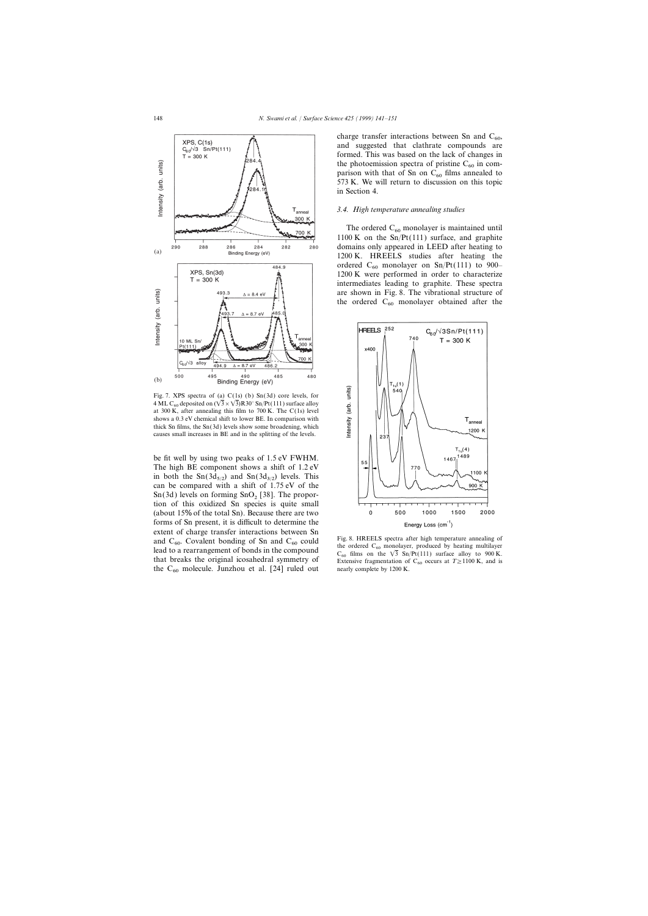

Fig. 7. XPS spectra of (a) C(1s) (b) Sn(3d) core levels, for 4 ML C<sub>60</sub> deposited on  $(\sqrt{3} \times \sqrt{3})R30^\circ$  Sn/Pt(111) surface alloy at 300 K, after annealing this film to 700 K. The C(1s) level shows a 0.3 eV chemical shift to lower BE. In comparison with thick Sn films, the Sn(3d) levels show some broadening, which causes small increases in BE and in the splitting of the levels.

be fit well by using two peaks of 1.5 eV FWHM. The high BE component shows a shift of 1.2 eV in both the  $\text{Sn}(3d_{5/2})$  and  $\text{Sn}(3d_{3/2})$  levels. This can be compared with a shift of 1.75 eV of the  $Sn(3d)$  levels on forming  $SnO<sub>2</sub>$  [38]. The proportion of this oxidized Sn species is quite small (about 15% of the total Sn). Because there are two forms of Sn present, it is difficult to determine the extent of charge transfer interactions between Sn and  $C_{60}$ . Covalent bonding of Sn and  $C_{60}$  could Fig. 8. HREELS spectra after high temperature annealing of the ordered  $C_{60}$  monolayer, produced by heating multilayer the  $C_{60}$  molecule. Junzhou et al. [24] ruled out

charge transfer interactions between Sn and  $C_{60}$ , and suggested that clathrate compounds are formed. This was based on the lack of changes in the photoemission spectra of pristine  $C_{60}$  in comparison with that of Sn on  $C_{60}$  films annealed to 573 K. We will return to discussion on this topic in Section 4.

### *3.4. High temperature annealing studies*

The ordered  $C_{60}$  monolayer is maintained until 1100 K on the  $Sn/Pt(111)$  surface, and graphite domains only appeared in LEED after heating to 1200 K. HREELS studies after heating the ordered  $C_{60}$  monolayer on Sn/Pt(111) to 900– 1200 K were performed in order to characterize intermediates leading to graphite. These spectra are shown in Fig. 8. The vibrational structure of the ordered  $C_{60}$  monolayer obtained after the



lead to a rearrangement of bonds in the compound<br>that breaks the original icosahedral symmetry of<br>the C<sub>60</sub> films on the  $\sqrt{3}$  Sn/Pt(111) surface alloy to 900 K.<br>that breaks the original icosahedral symmetry of<br>the C<sub>60</sub>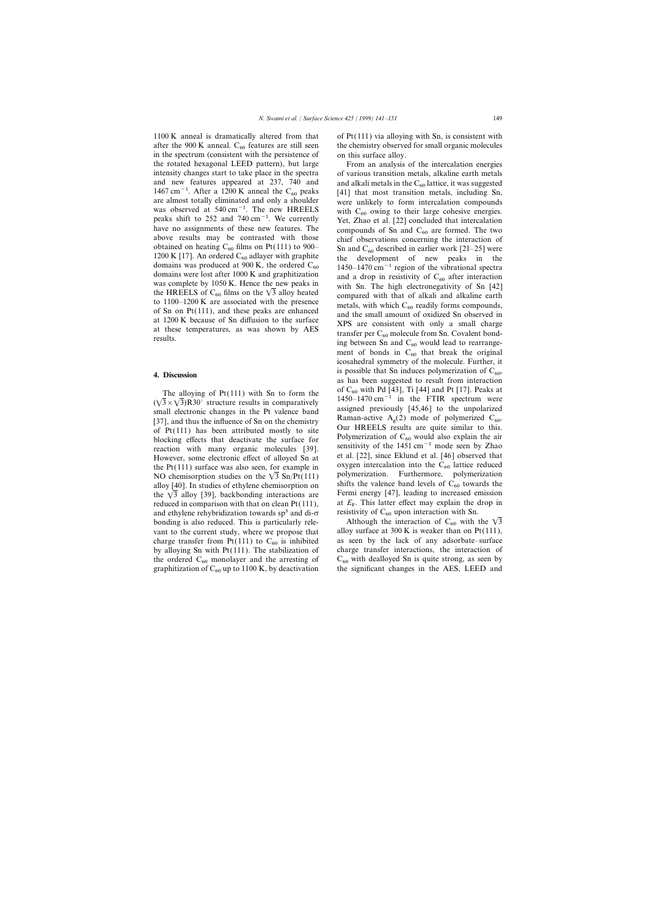1100 K anneal is dramatically altered from that of  $Pt(111)$  via alloying with Sn, is consistent with in the spectrum (consistent with the persistence of the rotated hexagonal LEED pattern), but large From an analysis of the intercalation energies intensity changes start to take place in the spectra of various transition metals, alkaline earth metals and new features appeared at 237, 740 and and alkali metals in the  $C_{60}$  lattice, it was suggested 1467 cm<sup>-1</sup>. After a 1200 K anneal the  $C_{60}$  peaks [411 that most transition metals, including Sn. 1467 cm<sup>-1</sup>. After a 1200 K anneal the C<sub>60</sub> peaks [41] that most transition metals, including Sn, are almost totally eliminated and only a shoulder were unlikely to form intercalation compounds are almost totally eliminated and only a shoulder were unlikely to form intercalation compounds was observed at  $540 \text{ cm}^{-1}$ . The new HREELS with  $C_{\epsilon 0}$  owing to their large cohesive energies. was observed at 540 cm<sup>-1</sup>. The new HREELS with C<sub>60</sub> owing to their large cohesive energies.<br>
peaks shift to 252 and 740 cm<sup>-1</sup>. We currently Yet Zhao et al. [221 concluded that intercalation peaks shift to 252 and 740 cm<sup>−1</sup>. We currently Yet, Zhao et al. [22] concluded that intercalation have no assignments of these new features. The compounds of Sn and C<sub>cc</sub> are formed. The two have no assignments of these new features. The compounds of Sn and  $C_{60}$  are formed. The two above results may be contrasted with those chief observations concerning the interaction of above results may be contrasted with those<br>obtained on heating  $C_{60}$  films on Pt(111) to 900-<br>1200 K [17]. An ordered  $C_{60}$  adlayer with graphite<br>domains was produced at 900 K, the ordered  $C_{60}$ <br>domains were lost af was complete by 1050 K. Hence the new peaks in<br>the HREELS of  $C_{60}$  films on the  $\sqrt{3}$  alloy heated<br>to 1100–1200 K are associated with the presence<br>of Sn on Pt(111), and these peaks are enhanced<br>of Sn on Pt(111), and t

blocking effects that deactivate the surface for<br>reaction of  $C_{60}$  would also explain the air<br>reaction with many organic molecules [39] sensitivity of the 1451 cm<sup>-1</sup> mode seen by Zhao Frequence of the 1451 cm−1 mode seen by Zhao reaction with many organic molecules [39]. Sensitivity of the 1451 cm  $\cdot$  mode seen by Zhao reaction effect of allowed Sn at the 1. [22], since Eklund et al. [46] observed tha However, some electronic effect of alloyed Sn at the Pt(111) surface was also seen, for example in oxygen intercalation into the C<sub>60</sub> lattice reduced NO chemisorption studies on the  $\sqrt{3}$  Sn/Pt(111) surface was also se alloy [40]. In studies of ethylene chemisorption on shifts the valence band levels of  $C_{60}$  towards the the  $\sqrt{3}$  alloy [39], backbonding interactions are Fermi energy [47], leading to increased emission reduced in comparison with that on clean Pt(111), at  $E_F$ . This latter effect may explain the drop in and ethylene rehybridization towards sp<sup>3</sup> and di- $\sigma$  resistivity of C<sub>60</sub> upon interaction with Sn. and ethylene rehybridization towards sp<sup>3</sup> and di- $\sigma$  resistivity of C<sub>60</sub> upon interaction with Sn.<br>3 bonding is also reduced. This is particularly rele-<br>Although the interaction of C<sub>60</sub> with the  $\sqrt{3}$ vant to the current study, where we propose that by alloying Sn with Pt $(111)$ . The stabilization of graphitization of  $C_{60}$  up to 1100 K, by deactivation

after the 900 K anneal.  $C_{60}$  features are still seen the chemistry observed for small organic molecules in the spectrum (consistent with the persistence of on this surface alloy.

of Sn of Pt(111), and these peaks are emianced<br>at 1200 K because of Sn diffusion to the surface<br>at these temperatures, as was shown by AES<br>results.<br>The surface transfer per  $C_{60}$  molecule from Sn. Covalent bond-<br>ing bet ment of bonds in  $C_{60}$  that break the original icosahedral symmetry of the molecule. Further, it **4. Discussion** is possible that Sn induces polymerization of  $C_{60}$ , as has been suggested to result from interaction The alloying of Pt(111) with Sn to form the<br>  $(\sqrt{3} \times \sqrt{3})R30^{\circ}$  structure results in comparatively<br>
small electronic changes in the Pt valence band<br>
[37], and thus the influence of Sn on the chemistry<br>
of Pt(111) has b Fermi energy [47], leading to increased emission

bonding is also reduced. This is particularly rele-<br>vant to the current study, where we propose that alloy surface at 300 K is weaker than on Pt(111), charge transfer from Pt(111) to  $C_{60}$  is inhibited as seen by the lack of any adsorbate–surface by alloying Sn with Pt(111). The stabilization of charge transfer interactions, the interaction of the ordered  $C_{60}$  monolayer and the arresting of  $C_{60}$  with dealloyed Sn is quite strong, as seen by graphitization of  $C_{60}$  up to 1100 K, by deactivation the significant changes in the AES, LEED and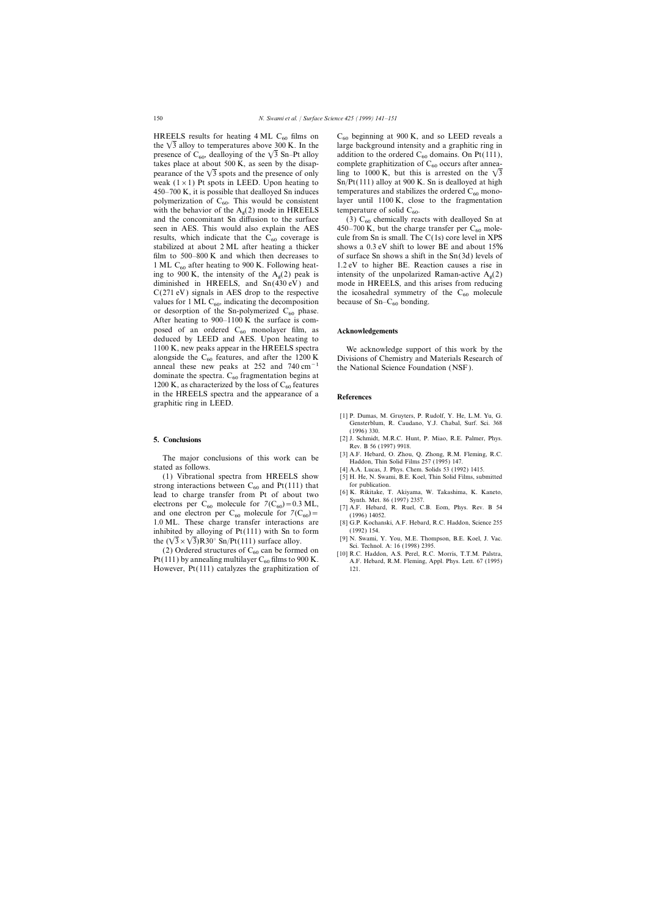HREELS results for heating 4 ML C<sub>60</sub> films on C<sub>60</sub> beginning at 900 K, and so LEED reveals a the  $\sqrt{3}$  alloy to temperatures above 300 K. In the large background intensity and a graphitic ring in the  $\sqrt{3}$  alloy to temperatures above 300 K. In the polymerization of  $C_{60}$ . This would be consistent layer until 1100 K, close with the behavior of the  $A_0(2)$  mode in HREELS temperature of solid  $C_{60}$ . with the behavior of the  $A_g(2)$  mode in HREELS temperature of solid  $C_{60}$ . and the concomitant Sn diffusion to the surface (3)  $C_{60}$  chemically reacts with dealloyed Sn at seen in AES. This would also explain the AES 450–700 K, but the charge transfer per  $C_{60}$  moleresults, which indicate that the  $C_{60}$  coverage is cule from Sn is small. The C(1s) core level in XPS stabilized at about 2 ML after heating a thicker shows a 0.3 eV shift to lower BE and about 15% stabilized at about 2 ML after heating a thicker film to 500–800 K and which then decreases to of surface Sn shows a shift in the  $Sn(3d)$  levels of ing to 900 K, the intensity of the  $A_g(2)$  peak is intensity of the unpolarized Raman-active  $A_g(2)$ <br>diminished in HREELS, and Sn(430 eV) and mode in HREELS, and this arises from reducing ing to 900 K, the intensity of the  $A_g(2)$  peak is  $C(271 \text{ eV})$  signals in AES drop to the respective the icosahedral symmetry of the  $C_{60}$  molecule values for 1 ML  $C_{60}$ , indicating the decomposition because of Sn– $C_{60}$  bonding. values for 1 ML  $C_{60}$ , indicating the decomposition or desorption of the Sn-polymerized  $C_{60}$  phase. After heating to 900–1100 K the surface is composed of an ordered C<sub>60</sub> monolayer film, as **Acknowledgements** deduced by LEED and AES. Upon heating to 1100 K, new peaks appear in the HREELS spectra We acknowledge support of this work by the alongside the  $C_{60}$  features, and after the 1200 K Divisions of Chemistry and Materials Research of anneal these new peaks at 252 and 740 cm<sup>-1</sup> the National Science Foundation (NSF). anneal these new peaks at 252 and  $740 \text{ cm}^{-1}$ dominate the spectra.  $C_{60}$  fragmentation begins at 1200 K, as characterized by the loss of  $C_{60}$  features in the HREELS spectra and the appearance of a **References** graphitic ring in LEED.

The major conclusions of this work can be Haddon, Thin Solid Films 257 (1995) 147.<br>
Flatted as follows. [4] A.A. Lucas, J. Phys. Chem. Solids 53 (1992) 1415.

(1) Vibrational spectra from HREELS show [5] H. He, N. Swami, B.E. Koel, Thin Solid Films, submitted strong interactions between  $C_{60}$  and Pt(111) that for publication.<br>lead to charge transfer from Pt of about two  $[6]$  K. Rikitake, T. Akiyama, W. Takashima, K. Kaneto, electrons per  $C_{60}$  molecule for  $7(C_{60}) = 0.3$  ML,<br>and one electron per  $C_{60}$  molecule for  $7(C_{60}) =$ <br>1.0 ML. These charge transfer interactions are [8] G.P. Kochanski, A.F. Hebard, R.C. Haddon, Science 255 inhibited by alloying of Pt(111) with Sn to form (1992) 154.<br>the  $(2\sqrt{3} \times 2\sqrt{2})R$  and  $\mathbb{R}P$  (1111) surface alloy (191). Swami, Y. You, M.E. Thompson, B.E. Koel, J. Vac.

the  $(\sqrt{3} \times \sqrt{3})R30^\circ$  Sn/Pt(111) surface alloy. [9] N. Swami, Y. You, M.E. Thompson, B.E. Koel, J. Vac.<br>
(2) Ordered structures of C<sub>60</sub> can be formed on<br>
Pt(111) by annealing multilayer C<sub>60</sub> films to 900 K. [10] R.C. However,  $Pt(111)$  catalyzes the graphitization of

presence of  $C_{60}$ , dealloying of the  $\sqrt{3}$  Sn–Pt alloy addition to the ordered  $C_{60}$  domains. On Pt(111), takes place at about 500 K, as seen by the disap-<br>complete graphitization of  $C_{60}$  occurs after anneatakes place at about 500 K, as seen by the disap-<br>pearance of the  $\sqrt{3}$  spots and the presence of only ling to 1000 K, but this is arrested on the  $\sqrt{3}$ ling to 1000 K, but this is arrested on the  $\sqrt{3}$ weak ( $1 \times 1$ ) Pt spots in LEED. Upon heating to Sn/Pt(111) alloy at 900 K. Sn is dealloyed at high 450–700 K, it is possible that dealloyed Sn induces temperatures and stabilizes the ordered  $C_{60}$  mono-<br>polymerization of  $C_{60}$ . This would be consistent layer until 1100 K, close to the fragmentation

450–700 K, but the charge transfer per  $C_{60}$  mole-<br>cule from Sn is small. The C(1s) core level in XPS 1 ML C<sub>60</sub> after heating to 900 K. Following heat- 1.2 eV to higher BE. Reaction causes a rise in mode in HREELS, and this arises from reducing

- [1] P. Dumas, M. Gruyters, P. Rudolf, Y. He, L.M. Yu, G. Gensterblum, R. Caudano, Y.J. Chabal, Surf. Sci. 368 (1996) 330.
- **5. Conclusions** [2] J. Schmidt, M.R.C. Hunt, P. Miao, R.E. Palmer, Phys. Rev. B 56 (1997) 9918.
	-
	-
	-
	-
	-
	- [8] G.P. Kochanski, A.F. Hebard, R.C. Haddon, Science 255
	-
	-